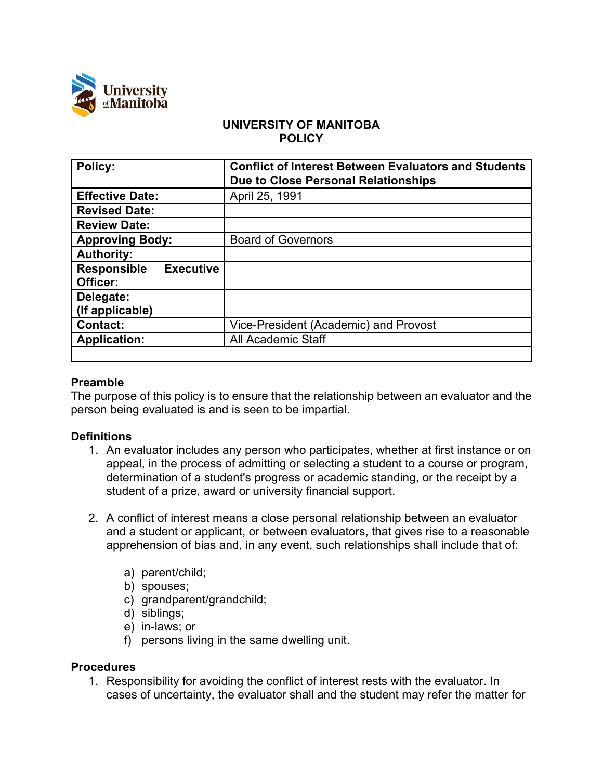

## **UNIVERSITY OF MANITOBA POLICY**

| <b>Policy:</b>                                     | <b>Conflict of Interest Between Evaluators and Students</b><br>Due to Close Personal Relationships |
|----------------------------------------------------|----------------------------------------------------------------------------------------------------|
| <b>Effective Date:</b>                             | April 25, 1991                                                                                     |
| <b>Revised Date:</b>                               |                                                                                                    |
| <b>Review Date:</b>                                |                                                                                                    |
| <b>Approving Body:</b>                             | <b>Board of Governors</b>                                                                          |
| <b>Authority:</b>                                  |                                                                                                    |
| <b>Executive</b><br><b>Responsible</b><br>Officer: |                                                                                                    |
| Delegate:<br>(If applicable)                       |                                                                                                    |
| <b>Contact:</b>                                    | Vice-President (Academic) and Provost                                                              |
| <b>Application:</b>                                | <b>All Academic Staff</b>                                                                          |
|                                                    |                                                                                                    |

## **Preamble**

The purpose of this policy is to ensure that the relationship between an evaluator and the person being evaluated is and is seen to be impartial.

## **Definitions**

- 1. An evaluator includes any person who participates, whether at first instance or on appeal, in the process of admitting or selecting a student to a course or program, determination of a student's progress or academic standing, or the receipt by a student of a prize, award or university financial support.
- 2. A conflict of interest means a close personal relationship between an evaluator and a student or applicant, or between evaluators, that gives rise to a reasonable apprehension of bias and, in any event, such relationships shall include that of:
	- a) parent/child;
	- b) spouses;
	- c) grandparent/grandchild;
	- d) siblings;
	- e) in-laws; or
	- f) persons living in the same dwelling unit.

## **Procedures**

1. Responsibility for avoiding the conflict of interest rests with the evaluator. In cases of uncertainty, the evaluator shall and the student may refer the matter for